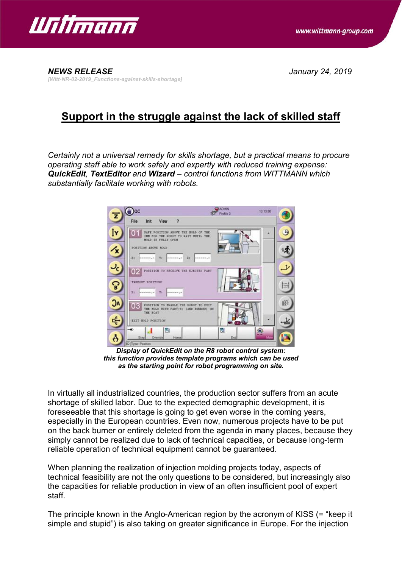

*NEWS RELEASE January 24, 2019 [Witt-NR-02-2019\_Functions-against-skills-shortage]*

## **Support in the struggle against the lack of skilled staff**

*Certainly not a universal remedy for skills shortage, but a practical means to procure operating staff able to work safely and expertly with reduced training expense: QuickEdit, TextEditor and Wizard – control functions from WITTMANN which substantially facilitate working with robots.*



*Display of QuickEdit on the R8 robot control system: this function provides template programs which can be used as the starting point for robot programming on site.*

In virtually all industrialized countries, the production sector suffers from an acute shortage of skilled labor. Due to the expected demographic development, it is foreseeable that this shortage is going to get even worse in the coming years, especially in the European countries. Even now, numerous projects have to be put on the back burner or entirely deleted from the agenda in many places, because they simply cannot be realized due to lack of technical capacities, or because long-term reliable operation of technical equipment cannot be guaranteed.

When planning the realization of injection molding projects today, aspects of technical feasibility are not the only questions to be considered, but increasingly also the capacities for reliable production in view of an often insufficient pool of expert staff.

The principle known in the Anglo-American region by the acronym of KISS (= "keep it simple and stupid") is also taking on greater significance in Europe. For the injection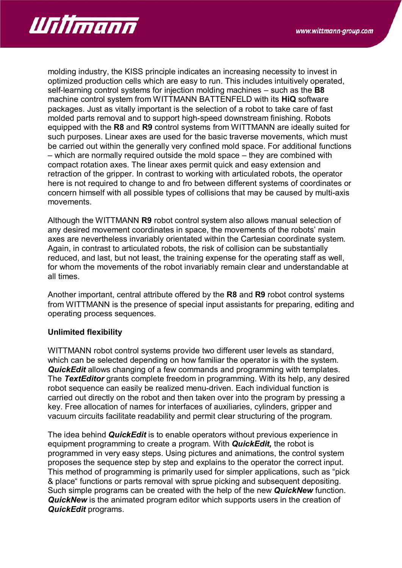

molding industry, the KISS principle indicates an increasing necessity to invest in optimized production cells which are easy to run. This includes intuitively operated, self-learning control systems for injection molding machines – such as the **B8** machine control system from WITTMANN BATTENFELD with its **HiQ** software packages. Just as vitally important is the selection of a robot to take care of fast molded parts removal and to support high-speed downstream finishing. Robots equipped with the **R8** and **R9** control systems from WITTMANN are ideally suited for such purposes. Linear axes are used for the basic traverse movements, which must be carried out within the generally very confined mold space. For additional functions – which are normally required outside the mold space – they are combined with compact rotation axes. The linear axes permit quick and easy extension and retraction of the gripper. In contrast to working with articulated robots, the operator here is not required to change to and fro between different systems of coordinates or concern himself with all possible types of collisions that may be caused by multi-axis movements.

Although the WITTMANN **R9** robot control system also allows manual selection of any desired movement coordinates in space, the movements of the robots' main axes are nevertheless invariably orientated within the Cartesian coordinate system. Again, in contrast to articulated robots, the risk of collision can be substantially reduced, and last, but not least, the training expense for the operating staff as well, for whom the movements of the robot invariably remain clear and understandable at all times.

Another important, central attribute offered by the **R8** and **R9** robot control systems from WITTMANN is the presence of special input assistants for preparing, editing and operating process sequences.

## **Unlimited flexibility**

WITTMANN robot control systems provide two different user levels as standard, which can be selected depending on how familiar the operator is with the system. *QuickEdit* allows changing of a few commands and programming with templates. The *TextEditor* grants complete freedom in programming. With its help, any desired robot sequence can easily be realized menu-driven. Each individual function is carried out directly on the robot and then taken over into the program by pressing a key. Free allocation of names for interfaces of auxiliaries, cylinders, gripper and vacuum circuits facilitate readability and permit clear structuring of the program.

The idea behind *QuickEdit* is to enable operators without previous experience in equipment programming to create a program. With *QuickEdit,* the robot is programmed in very easy steps. Using pictures and animations, the control system proposes the sequence step by step and explains to the operator the correct input. This method of programming is primarily used for simpler applications, such as "pick & place" functions or parts removal with sprue picking and subsequent depositing. Such simple programs can be created with the help of the new *QuickNew* function. *QuickNew* is the animated program editor which supports users in the creation of *QuickEdit* programs.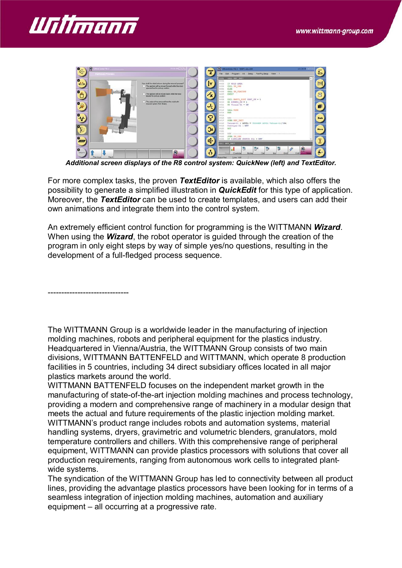



*Additional screen displays of the R8 control system: QuickNew (left) and TextEditor.*

For more complex tasks, the proven *TextEditor* is available, which also offers the possibility to generate a simplified illustration in *QuickEdit* for this type of application. Moreover, the *TextEditor* can be used to create templates, and users can add their own animations and integrate them into the control system.

An extremely efficient control function for programming is the WITTMANN *Wizard*. When using the *Wizard*, the robot operator is guided through the creation of the program in only eight steps by way of simple yes/no questions, resulting in the development of a full-fledged process sequence.

------------------------------

The WITTMANN Group is a worldwide leader in the manufacturing of injection molding machines, robots and peripheral equipment for the plastics industry. Headquartered in Vienna/Austria, the WITTMANN Group consists of two main divisions, WITTMANN BATTENFELD and WITTMANN, which operate 8 production facilities in 5 countries, including 34 direct subsidiary offices located in all major plastics markets around the world.

WITTMANN BATTENFELD focuses on the independent market growth in the manufacturing of state-of-the-art injection molding machines and process technology, providing a modern and comprehensive range of machinery in a modular design that meets the actual and future requirements of the plastic injection molding market. WITTMANN's product range includes robots and automation systems, material handling systems, dryers, gravimetric and volumetric blenders, granulators, mold temperature controllers and chillers. With this comprehensive range of peripheral equipment, WITTMANN can provide plastics processors with solutions that cover all production requirements, ranging from autonomous work cells to integrated plantwide systems.

The syndication of the WITTMANN Group has led to connectivity between all product lines, providing the advantage plastics processors have been looking for in terms of a seamless integration of injection molding machines, automation and auxiliary equipment – all occurring at a progressive rate.